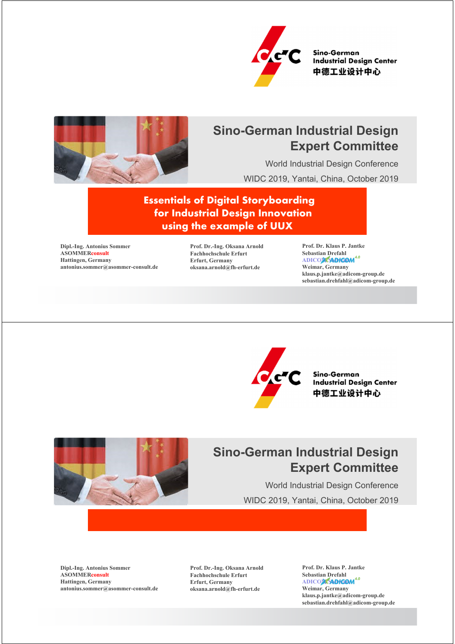

Sino-German **Industrial Design Center** 中德工业设计中心



## **Sino-German Industrial Design Expert Committee**

World Industrial Design Conference WIDC 2019, Yantai, China, October 2019

**Essentials of Digital Storyboarding for Industrial Design Innovation using the example of UUX**

**Dipl.-Ing. Antonius Sommer ASOMMERconsult Hattingen, Germany antonius.sommer@asommer-consult.de** **Prof. Dr.-Ing. Oksana Arnold Fachhochschule Erfurt Erfurt, Germany oksana.arnold@fh-erfurt.de**

**Prof. Dr. Klaus P. Jantke Sebastian Drefahl** ADICO**M SADIGOM<sup>4.0</sup> Weimar, Germany klaus.p.jantke@adicom-group.de sebastian.drehfahl@adicom-group.de**



Sino-German **Industrial Design Center** 中德工业设计中心



# **Sino-German Industrial Design Expert Committee**

World Industrial Design Conference WIDC 2019, Yantai, China, October 2019

**Dipl.-Ing. Antonius Sommer ASOMMERconsult Hattingen, Germany antonius.sommer@asommer-consult.de**

**Prof. Dr.-Ing. Oksana Arnold Fachhochschule Erfurt Erfurt, Germany oksana.arnold@fh-erfurt.de**

**Prof. Dr. Klaus P. Jantke Sebastian Drefahl** ADICO**M SADICOM**<sup>4.0</sup> **Weimar, Germany klaus.p.jantke@adicom-group.de sebastian.drehfahl@adicom-group.de**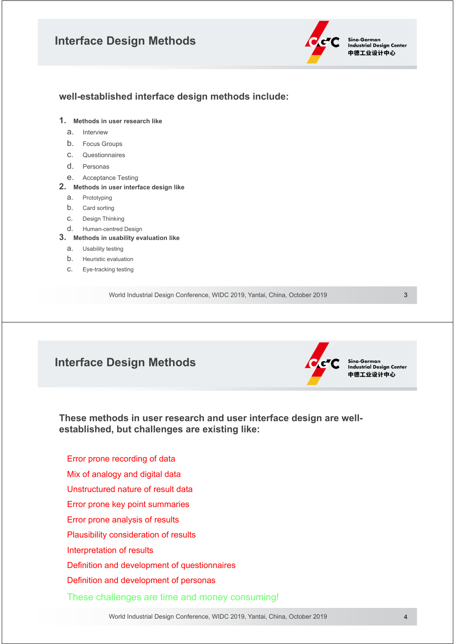### **Interface Design Methods**



#### **well-established interface design methods include:**

- **1. Methods in user research like**
	- a. Interview
	- b. Focus Groups
	- c. Questionnaires
	- d. Personas
	- e. Acceptance Testing
- **2. Methods in user interface design like**
	- a. Prototyping
	- b. Card sorting
	- c. Design Thinking
	- d. Human-centred Design
- **3. Methods in usability evaluation like**
	- a. Usability testing
	- b. Heuristic evaluation
	- c. Eye-tracking testing

World Industrial Design Conference, WIDC 2019, Yantai, China, October 2019

3

#### **Interface Design Methods**



Sino-German **Industrial Design Center** 中德工业设计中心

**These methods in user research and user interface design are wellestablished, but challenges are existing like:**

Error prone recording of data Mix of analogy and digital data Unstructured nature of result data Error prone key point summaries Error prone analysis of results Plausibility consideration of results Interpretation of results Definition and development of questionnaires Definition and development of personas

These challenges are time and money consuming!